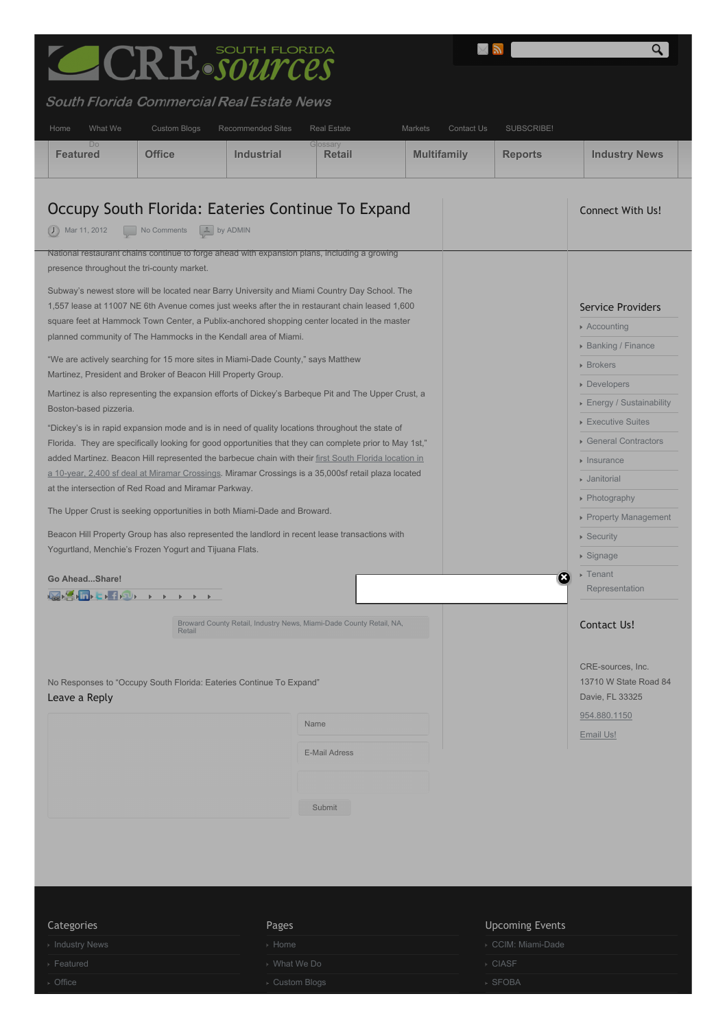<span id="page-0-0"></span>

## $\overline{th}$ ida al Roal Fetat

| What We<br>Home                                                                                                                                                                                                                                                                                                                                                                 | Custom Blogs                                       | <b>Recommended Sites</b> | <b>Real Estate</b>                                                  | Markets            | Contact Us | SUBSCRIBE!     |                                                                   |
|---------------------------------------------------------------------------------------------------------------------------------------------------------------------------------------------------------------------------------------------------------------------------------------------------------------------------------------------------------------------------------|----------------------------------------------------|--------------------------|---------------------------------------------------------------------|--------------------|------------|----------------|-------------------------------------------------------------------|
| Do<br><b>Featured</b>                                                                                                                                                                                                                                                                                                                                                           | <b>Office</b>                                      | <b>Industrial</b>        | Glossary<br>Retail                                                  | <b>Multifamily</b> |            | <b>Reports</b> | <b>Industry News</b>                                              |
| Occupy South Florida: Eateries Continue To Expand<br>$J$ Mar 11, 2012<br>National restaurant chains continue to forge ahead with expansion plans, including a growing                                                                                                                                                                                                           | L by ADMIN<br>No Comments                          |                          |                                                                     |                    |            |                | <b>Connect With Us!</b>                                           |
| presence throughout the tri-county market.<br>Subway's newest store will be located near Barry University and Miami Country Day School. The<br>1,557 lease at 11007 NE 6th Avenue comes just weeks after the in restaurant chain leased 1,600<br>square feet at Hammock Town Center, a Publix-anchored shopping center located in the master                                    |                                                    |                          |                                                                     |                    |            |                | <b>Service Providers</b><br>▶ Accounting                          |
| planned community of The Hammocks in the Kendall area of Miami.<br>"We are actively searching for 15 more sites in Miami-Dade County," says Matthew<br>Martinez, President and Broker of Beacon Hill Property Group.                                                                                                                                                            |                                                    |                          |                                                                     |                    |            |                | <b>Banking / Finance</b><br>▶ Brokers<br>• Developers             |
| Martinez is also representing the expansion efforts of Dickey's Barbeque Pit and The Upper Crust, a<br>Boston-based pizzeria.<br>"Dickey's is in rapid expansion mode and is in need of quality locations throughout the state of                                                                                                                                               |                                                    |                          |                                                                     |                    |            |                | ▶ Energy / Sustainability<br>▶ Executive Suites                   |
| Florida. They are specifically looking for good opportunities that they can complete prior to May 1st,"<br>added Martinez. Beacon Hill represented the barbecue chain with their first South Florida location in<br>a 10-year, 2,400 sf deal at Miramar Crossings. Miramar Crossings is a 35,000sf retail plaza located<br>at the intersection of Red Road and Miramar Parkway. | General Contractors<br>• Insurance<br>• Janitorial |                          |                                                                     |                    |            |                |                                                                   |
| The Upper Crust is seeking opportunities in both Miami-Dade and Broward.<br>Beacon Hill Property Group has also represented the landlord in recent lease transactions with<br>Yogurtland, Menchie's Frozen Yogurt and Tijuana Flats.                                                                                                                                            |                                                    |                          |                                                                     |                    |            |                | ▶ Photography<br>▶ Property Management<br>▶ Security<br>▶ Signage |
| Go AheadShare!<br>a. S. I. L. P. O. L. L. L. L.                                                                                                                                                                                                                                                                                                                                 |                                                    |                          |                                                                     |                    |            | B              | ▶ Tenant<br>Representation                                        |
|                                                                                                                                                                                                                                                                                                                                                                                 | Retail                                             |                          | Broward County Retail, Industry News, Miami-Dade County Retail, NA, |                    |            |                | <b>Contact Us!</b><br>CRE-sources, Inc.                           |
| No Responses to "Occupy South Florida: Eateries Continue To Expand"<br>Leave a Reply                                                                                                                                                                                                                                                                                            |                                                    |                          |                                                                     |                    |            |                | 13710 W State Road 84<br>Davie, FL 33325<br>954.880.1150          |
|                                                                                                                                                                                                                                                                                                                                                                                 |                                                    |                          | Name<br><b>E-Mail Adress</b>                                        |                    |            |                | Email Us!                                                         |
|                                                                                                                                                                                                                                                                                                                                                                                 |                                                    |                          | Submit                                                              |                    |            |                |                                                                   |
|                                                                                                                                                                                                                                                                                                                                                                                 |                                                    |                          |                                                                     |                    |            |                |                                                                   |

**Ma** 

 $\overline{R}$ 

<span id="page-0-1"></span>

| Categories    | Pages          | <b>Upcoming Events</b> |
|---------------|----------------|------------------------|
| Industry News | ⊳ Home         | ▶ CCIM: Miami-Dade     |
| Featured      | ▶ What We Do   | ▶ CIASF                |
| Office        | ▶ Custom Blogs | · SFOBA                |